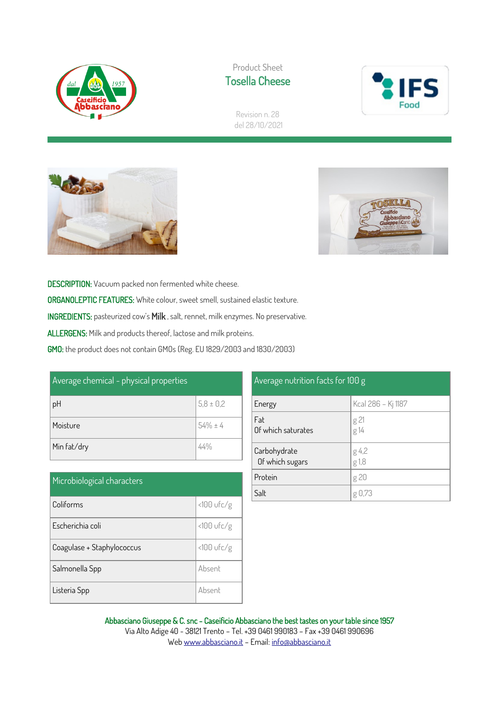

Product Sheet Tosella Cheese



Revision n. 28 del 28/10/2021





DESCRIPTION: Vacuum packed non fermented white cheese. ORGANOLEPTIC FEATURES: White colour, sweet smell, sustained elastic texture. INGREDIENTS: pasteurized cow's Milk , salt, rennet, milk enzymes. No preservative. ALLERGENS: Milk and products thereof, lactose and milk proteins. GMO: the product does not contain GMOs (Reg. EU 1829/2003 and 1830/2003)

| Average chemical - physical properties |               |
|----------------------------------------|---------------|
| pH                                     | $5,8 \pm 0,2$ |
| Moisture                               | $54\% \pm 4$  |
| Min fat/dry                            |               |

| Microbiological characters |              |
|----------------------------|--------------|
| Coliforms                  | <100 ufc/g   |
| Escherichia coli           | $<100$ ufc/g |
| Coagulase + Staphylococcus | $<100$ ufc/g |
| Salmonella Spp             | Absent       |
| Listeria Spp               | Absent       |

| Average nutrition facts for 100 g |                    |  |
|-----------------------------------|--------------------|--|
| Energy                            | Kcal 286 - Kj 1187 |  |
| Fat<br>Of which saturates         | g 21<br>g 14       |  |
| Carbohydrate<br>Of which sugars   | g 4,2<br>g 1,8     |  |
| Protein                           | g 20               |  |
| Salt                              | g ⊍,73             |  |

Abbasciano Giuseppe & C. snc - Caseificio Abbasciano the best tastes on your table since 1957 Via Alto Adige 40 - 38121 Trento – Tel. +39 0461 990183 – Fax +39 0461 990696 We[b www.abbasciano.it](http://www.abbasciano.it/) – Email[: info@abbasciano.it](mailto:info@abbasciano.it)